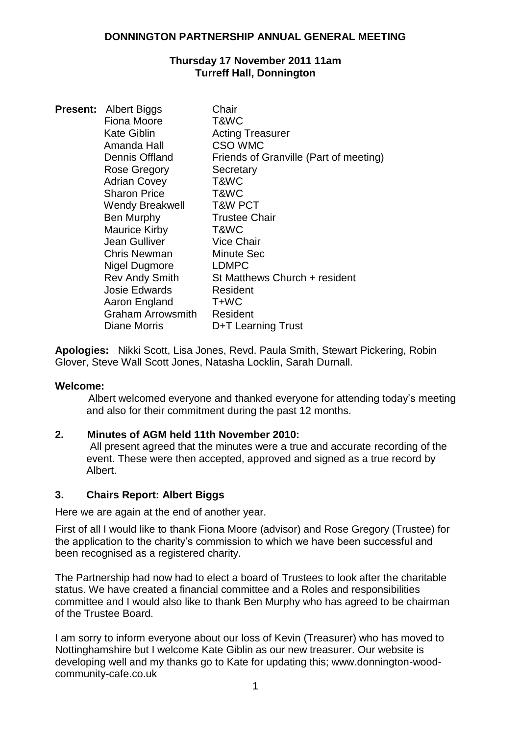### **Thursday 17 November 2011 11am Turreff Hall, Donnington**

| <b>Present: Albert Biggs</b> | Chair                                  |
|------------------------------|----------------------------------------|
| Fiona Moore                  | T&WC                                   |
| <b>Kate Giblin</b>           | <b>Acting Treasurer</b>                |
| Amanda Hall                  | CSO WMC                                |
| Dennis Offland               | Friends of Granville (Part of meeting) |
| Rose Gregory                 | Secretary                              |
| <b>Adrian Covey</b>          | T&WC                                   |
| <b>Sharon Price</b>          | T&WC                                   |
| <b>Wendy Breakwell</b>       | <b>T&amp;W PCT</b>                     |
| Ben Murphy                   | <b>Trustee Chair</b>                   |
| Maurice Kirby                | T&WC                                   |
| Jean Gulliver                | <b>Vice Chair</b>                      |
| <b>Chris Newman</b>          | <b>Minute Sec</b>                      |
| Nigel Dugmore                | <b>LDMPC</b>                           |
| <b>Rev Andy Smith</b>        | St Matthews Church + resident          |
| <b>Josie Edwards</b>         | Resident                               |
| Aaron England                | T+WC                                   |
| <b>Graham Arrowsmith</b>     | Resident                               |
| Diane Morris                 | D+T Learning Trust                     |

**Apologies:** Nikki Scott, Lisa Jones, Revd. Paula Smith, Stewart Pickering, Robin Glover, Steve Wall Scott Jones, Natasha Locklin, Sarah Durnall.

### **Welcome:**

Albert welcomed everyone and thanked everyone for attending today"s meeting and also for their commitment during the past 12 months.

# **2. Minutes of AGM held 11th November 2010:**

All present agreed that the minutes were a true and accurate recording of the event. These were then accepted, approved and signed as a true record by Albert.

### **3. Chairs Report: Albert Biggs**

Here we are again at the end of another year.

First of all I would like to thank Fiona Moore (advisor) and Rose Gregory (Trustee) for the application to the charity"s commission to which we have been successful and been recognised as a registered charity.

The Partnership had now had to elect a board of Trustees to look after the charitable status. We have created a financial committee and a Roles and responsibilities committee and I would also like to thank Ben Murphy who has agreed to be chairman of the Trustee Board.

I am sorry to inform everyone about our loss of Kevin (Treasurer) who has moved to Nottinghamshire but I welcome Kate Giblin as our new treasurer. Our website is developing well and my thanks go to Kate for updating this; www.donnington-woodcommunity-cafe.co.uk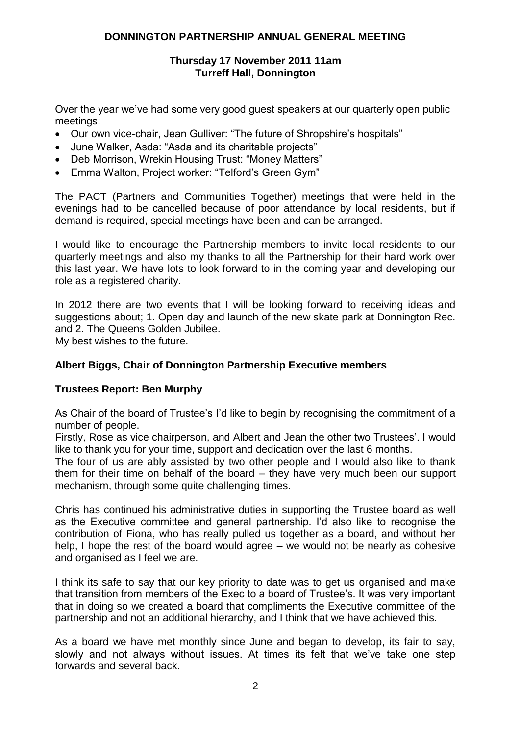#### **Thursday 17 November 2011 11am Turreff Hall, Donnington**

Over the year we've had some very good guest speakers at our quarterly open public meetings;

- Our own vice-chair, Jean Gulliver: "The future of Shropshire's hospitals"
- June Walker, Asda: "Asda and its charitable projects"
- Deb Morrison, Wrekin Housing Trust: "Money Matters"
- Emma Walton, Project worker: "Telford"s Green Gym"

The PACT (Partners and Communities Together) meetings that were held in the evenings had to be cancelled because of poor attendance by local residents, but if demand is required, special meetings have been and can be arranged.

I would like to encourage the Partnership members to invite local residents to our quarterly meetings and also my thanks to all the Partnership for their hard work over this last year. We have lots to look forward to in the coming year and developing our role as a registered charity.

In 2012 there are two events that I will be looking forward to receiving ideas and suggestions about; 1. Open day and launch of the new skate park at Donnington Rec. and 2. The Queens Golden Jubilee.

My best wishes to the future.

### **Albert Biggs, Chair of Donnington Partnership Executive members**

### **Trustees Report: Ben Murphy**

As Chair of the board of Trustee's I'd like to begin by recognising the commitment of a number of people.

Firstly, Rose as vice chairperson, and Albert and Jean the other two Trustees". I would like to thank you for your time, support and dedication over the last 6 months.

The four of us are ably assisted by two other people and I would also like to thank them for their time on behalf of the board – they have very much been our support mechanism, through some quite challenging times.

Chris has continued his administrative duties in supporting the Trustee board as well as the Executive committee and general partnership. I"d also like to recognise the contribution of Fiona, who has really pulled us together as a board, and without her help, I hope the rest of the board would agree – we would not be nearly as cohesive and organised as I feel we are.

I think its safe to say that our key priority to date was to get us organised and make that transition from members of the Exec to a board of Trustee"s. It was very important that in doing so we created a board that compliments the Executive committee of the partnership and not an additional hierarchy, and I think that we have achieved this.

As a board we have met monthly since June and began to develop, its fair to say, slowly and not always without issues. At times its felt that we"ve take one step forwards and several back.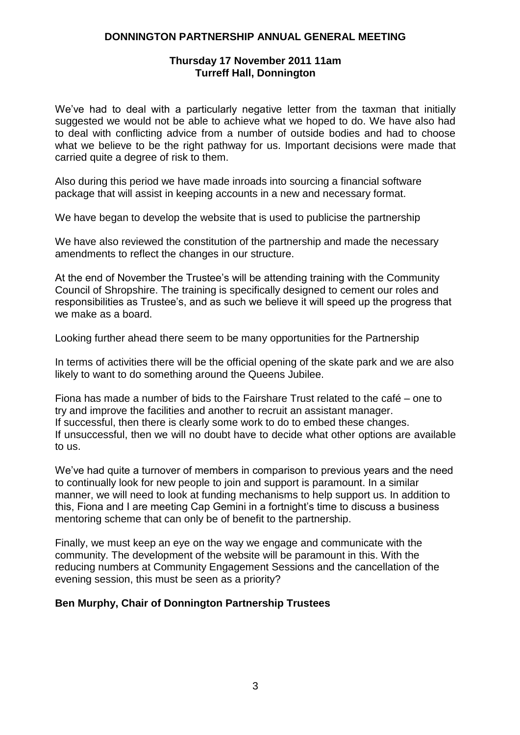### **Thursday 17 November 2011 11am Turreff Hall, Donnington**

We've had to deal with a particularly negative letter from the taxman that initially suggested we would not be able to achieve what we hoped to do. We have also had to deal with conflicting advice from a number of outside bodies and had to choose what we believe to be the right pathway for us. Important decisions were made that carried quite a degree of risk to them.

Also during this period we have made inroads into sourcing a financial software package that will assist in keeping accounts in a new and necessary format.

We have began to develop the website that is used to publicise the partnership

We have also reviewed the constitution of the partnership and made the necessary amendments to reflect the changes in our structure.

At the end of November the Trustee's will be attending training with the Community Council of Shropshire. The training is specifically designed to cement our roles and responsibilities as Trustee's, and as such we believe it will speed up the progress that we make as a board.

Looking further ahead there seem to be many opportunities for the Partnership

In terms of activities there will be the official opening of the skate park and we are also likely to want to do something around the Queens Jubilee.

Fiona has made a number of bids to the Fairshare Trust related to the café – one to try and improve the facilities and another to recruit an assistant manager. If successful, then there is clearly some work to do to embed these changes. If unsuccessful, then we will no doubt have to decide what other options are available to us.

We've had quite a turnover of members in comparison to previous years and the need to continually look for new people to join and support is paramount. In a similar manner, we will need to look at funding mechanisms to help support us. In addition to this, Fiona and I are meeting Cap Gemini in a fortnight"s time to discuss a business mentoring scheme that can only be of benefit to the partnership.

Finally, we must keep an eye on the way we engage and communicate with the community. The development of the website will be paramount in this. With the reducing numbers at Community Engagement Sessions and the cancellation of the evening session, this must be seen as a priority?

### **Ben Murphy, Chair of Donnington Partnership Trustees**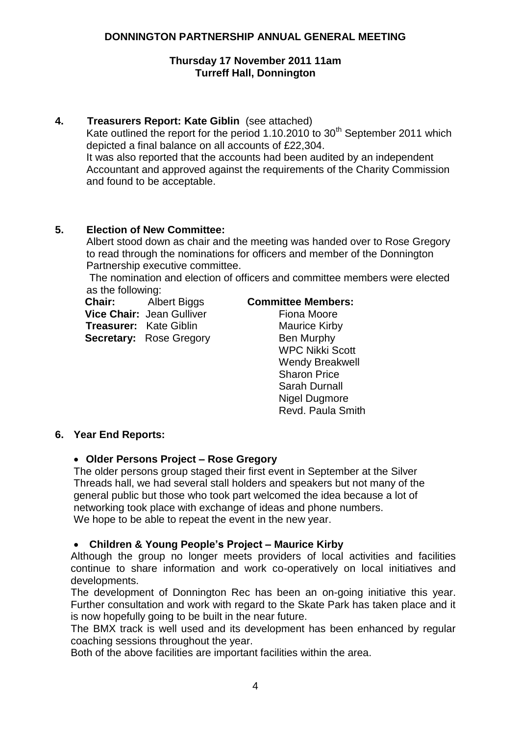### **Thursday 17 November 2011 11am Turreff Hall, Donnington**

# **4. Treasurers Report: Kate Giblin** (see attached)

Kate outlined the report for the period  $1.10.2010$  to  $30<sup>th</sup>$  September 2011 which depicted a final balance on all accounts of £22,304. It was also reported that the accounts had been audited by an independent Accountant and approved against the requirements of the Charity Commission and found to be acceptable.

### **5. Election of New Committee:**

Albert stood down as chair and the meeting was handed over to Rose Gregory to read through the nominations for officers and member of the Donnington Partnership executive committee.

The nomination and election of officers and committee members were elected as the following:

**Chair:** Albert Biggs **Vice Chair:** Jean Gulliver  **Treasurer:** Kate Giblin **Secretary: Rose Gregory** 

#### **Committee Members:**

Fiona Moore Maurice Kirby Ben Murphy WPC Nikki Scott Wendy Breakwell Sharon Price Sarah Durnall Nigel Dugmore Revd. Paula Smith

# **6. Year End Reports:**

### **Older Persons Project – Rose Gregory**

The older persons group staged their first event in September at the Silver Threads hall, we had several stall holders and speakers but not many of the general public but those who took part welcomed the idea because a lot of networking took place with exchange of ideas and phone numbers. We hope to be able to repeat the event in the new year.

### **Children & Young People's Project – Maurice Kirby**

Although the group no longer meets providers of local activities and facilities continue to share information and work co-operatively on local initiatives and developments.

The development of Donnington Rec has been an on-going initiative this year. Further consultation and work with regard to the Skate Park has taken place and it is now hopefully going to be built in the near future.

The BMX track is well used and its development has been enhanced by regular coaching sessions throughout the year.

Both of the above facilities are important facilities within the area.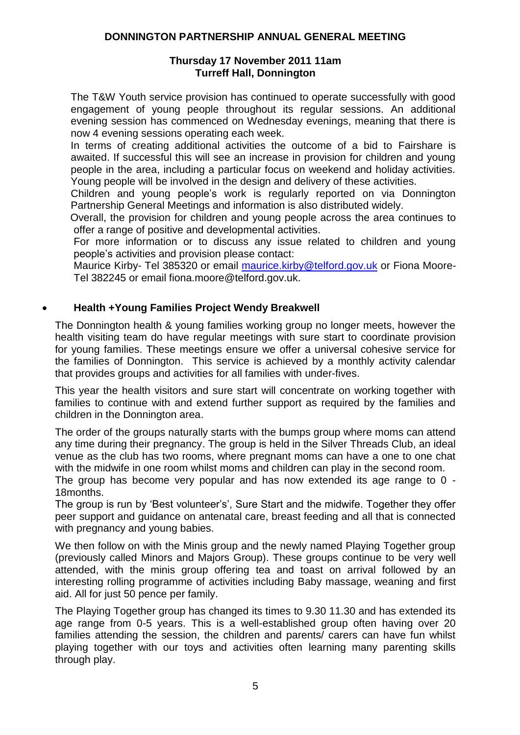### **Thursday 17 November 2011 11am Turreff Hall, Donnington**

The T&W Youth service provision has continued to operate successfully with good engagement of young people throughout its regular sessions. An additional evening session has commenced on Wednesday evenings, meaning that there is now 4 evening sessions operating each week.

In terms of creating additional activities the outcome of a bid to Fairshare is awaited. If successful this will see an increase in provision for children and young people in the area, including a particular focus on weekend and holiday activities. Young people will be involved in the design and delivery of these activities.

Children and young people"s work is regularly reported on via Donnington Partnership General Meetings and information is also distributed widely.

Overall, the provision for children and young people across the area continues to offer a range of positive and developmental activities.

For more information or to discuss any issue related to children and young people"s activities and provision please contact:

Maurice Kirby- Tel 385320 or email [maurice.kirby@telford.gov.uk](mailto:maurice.kirby@telford.gov.uk) or Fiona Moore-Tel 382245 or email fiona.moore@telford.gov.uk.

# **Health +Young Families Project Wendy Breakwell**

The Donnington health & young families working group no longer meets, however the health visiting team do have regular meetings with sure start to coordinate provision for young families. These meetings ensure we offer a universal cohesive service for the families of Donnington. This service is achieved by a monthly activity calendar that provides groups and activities for all families with under-fives.

This year the health visitors and sure start will concentrate on working together with families to continue with and extend further support as required by the families and children in the Donnington area.

The order of the groups naturally starts with the bumps group where moms can attend any time during their pregnancy. The group is held in the Silver Threads Club, an ideal venue as the club has two rooms, where pregnant moms can have a one to one chat with the midwife in one room whilst moms and children can play in the second room.

The group has become very popular and has now extended its age range to 0 - 18months.

The group is run by 'Best volunteer's', Sure Start and the midwife. Together they offer peer support and guidance on antenatal care, breast feeding and all that is connected with pregnancy and young babies.

We then follow on with the Minis group and the newly named Playing Together group (previously called Minors and Majors Group). These groups continue to be very well attended, with the minis group offering tea and toast on arrival followed by an interesting rolling programme of activities including Baby massage, weaning and first aid. All for just 50 pence per family.

The Playing Together group has changed its times to 9.30 11.30 and has extended its age range from 0-5 years. This is a well-established group often having over 20 families attending the session, the children and parents/ carers can have fun whilst playing together with our toys and activities often learning many parenting skills through play.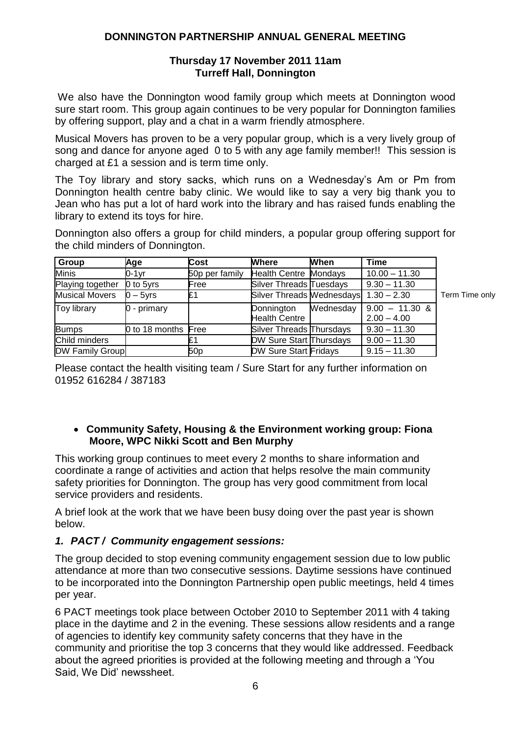### **Thursday 17 November 2011 11am Turreff Hall, Donnington**

We also have the Donnington wood family group which meets at Donnington wood sure start room. This group again continues to be very popular for Donnington families by offering support, play and a chat in a warm friendly atmosphere.

Musical Movers has proven to be a very popular group, which is a very lively group of song and dance for anyone aged 0 to 5 with any age family member!! This session is charged at £1 a session and is term time only.

The Toy library and story sacks, which runs on a Wednesday"s Am or Pm from Donnington health centre baby clinic. We would like to say a very big thank you to Jean who has put a lot of hard work into the library and has raised funds enabling the library to extend its toys for hire.

Donnington also offers a group for child minders, a popular group offering support for the child minders of Donnington.

| Group                  | Age                 | Cost            | <b>Where</b>                          | When      | Time                              |                |
|------------------------|---------------------|-----------------|---------------------------------------|-----------|-----------------------------------|----------------|
| <b>Minis</b>           | $0-1$ yr            | 50p per family  | <b>Health Centre Mondays</b>          |           | $10.00 - 11.30$                   |                |
| Playing together       | $0$ to $5$ yrs      | Free            | Silver Threads Tuesdays               |           | $9.30 - 11.30$                    |                |
| <b>Musical Movers</b>  | $0 - 5$ yrs         | £1              | Silver Threads Mednesdays 1.30 - 2.30 |           |                                   | Term Time only |
| <b>Toy library</b>     | 0 - primary         |                 | Donnington<br><b>Health Centre</b>    | Wednesday | $9.00 - 11.30$ &<br>$2.00 - 4.00$ |                |
| <b>Bumps</b>           | 0 to 18 months Free |                 | Silver Threads Thursdays              |           | $9.30 - 11.30$                    |                |
| Child minders          |                     | £.              | <b>DW Sure Start Thursdays</b>        |           | $9.00 - 11.30$                    |                |
| <b>DW Family Group</b> |                     | 50 <sub>p</sub> | <b>DW Sure Start Fridays</b>          |           | $9.15 - 11.30$                    |                |

Please contact the health visiting team / Sure Start for any further information on 01952 616284 / 387183

### **Community Safety, Housing & the Environment working group: Fiona Moore, WPC Nikki Scott and Ben Murphy**

This working group continues to meet every 2 months to share information and coordinate a range of activities and action that helps resolve the main community safety priorities for Donnington. The group has very good commitment from local service providers and residents.

A brief look at the work that we have been busy doing over the past year is shown below.

# *1. PACT / Community engagement sessions:*

The group decided to stop evening community engagement session due to low public attendance at more than two consecutive sessions. Daytime sessions have continued to be incorporated into the Donnington Partnership open public meetings, held 4 times per year.

6 PACT meetings took place between October 2010 to September 2011 with 4 taking place in the daytime and 2 in the evening. These sessions allow residents and a range of agencies to identify key community safety concerns that they have in the community and prioritise the top 3 concerns that they would like addressed. Feedback about the agreed priorities is provided at the following meeting and through a "You Said, We Did" newssheet.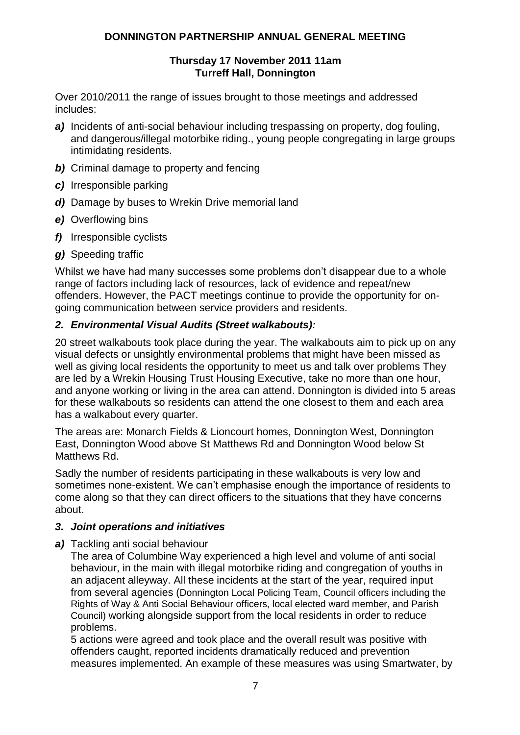### **Thursday 17 November 2011 11am Turreff Hall, Donnington**

Over 2010/2011 the range of issues brought to those meetings and addressed includes:

- *a)* Incidents of anti-social behaviour including trespassing on property, dog fouling, and dangerous/illegal motorbike riding., young people congregating in large groups intimidating residents.
- *b)* Criminal damage to property and fencing
- *c)* Irresponsible parking
- *d)* Damage by buses to Wrekin Drive memorial land
- *e)* Overflowing bins
- *f)* Irresponsible cyclists
- *g)* Speeding traffic

Whilst we have had many successes some problems don't disappear due to a whole range of factors including lack of resources, lack of evidence and repeat/new offenders. However, the PACT meetings continue to provide the opportunity for ongoing communication between service providers and residents.

### *2. Environmental Visual Audits (Street walkabouts):*

20 street walkabouts took place during the year. The walkabouts aim to pick up on any visual defects or unsightly environmental problems that might have been missed as well as giving local residents the opportunity to meet us and talk over problems They are led by a Wrekin Housing Trust Housing Executive, take no more than one hour, and anyone working or living in the area can attend. Donnington is divided into 5 areas for these walkabouts so residents can attend the one closest to them and each area has a walkabout every quarter.

The areas are: Monarch Fields & Lioncourt homes, Donnington West, Donnington East, Donnington Wood above St Matthews Rd and Donnington Wood below St Matthews Rd.

Sadly the number of residents participating in these walkabouts is very low and sometimes none-existent. We can"t emphasise enough the importance of residents to come along so that they can direct officers to the situations that they have concerns about.

### *3. Joint operations and initiatives*

### *a)* Tackling anti social behaviour

The area of Columbine Way experienced a high level and volume of anti social behaviour, in the main with illegal motorbike riding and congregation of youths in an adjacent alleyway. All these incidents at the start of the year, required input from several agencies (Donnington Local Policing Team, Council officers including the Rights of Way & Anti Social Behaviour officers, local elected ward member, and Parish Council) working alongside support from the local residents in order to reduce problems.

5 actions were agreed and took place and the overall result was positive with offenders caught, reported incidents dramatically reduced and prevention measures implemented. An example of these measures was using Smartwater, by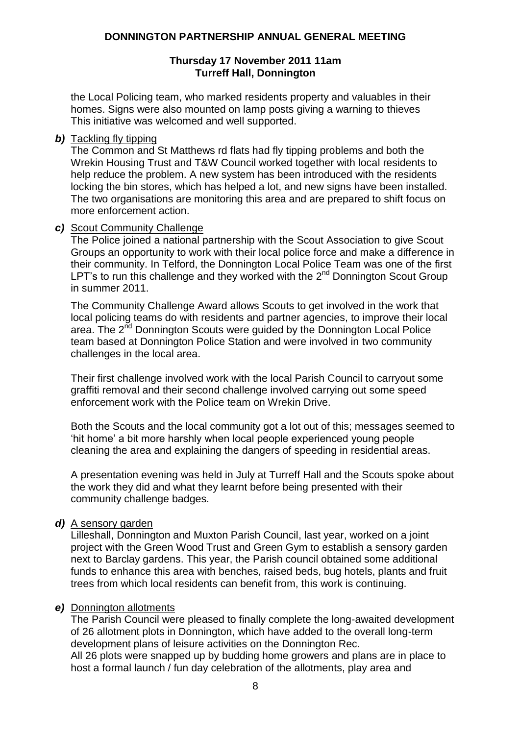### **Thursday 17 November 2011 11am Turreff Hall, Donnington**

the Local Policing team, who marked residents property and valuables in their homes. Signs were also mounted on lamp posts giving a warning to thieves This initiative was welcomed and well supported.

*b)* Tackling fly tipping

The Common and St Matthews rd flats had fly tipping problems and both the Wrekin Housing Trust and T&W Council worked together with local residents to help reduce the problem. A new system has been introduced with the residents locking the bin stores, which has helped a lot, and new signs have been installed. The two organisations are monitoring this area and are prepared to shift focus on more enforcement action.

### *c)* Scout Community Challenge

The Police joined a national partnership with the Scout Association to give Scout Groups an opportunity to work with their local police force and make a difference in their community. In Telford, the Donnington Local Police Team was one of the first LPT's to run this challenge and they worked with the  $2<sup>nd</sup>$  Donnington Scout Group in summer 2011.

The Community Challenge Award allows Scouts to get involved in the work that local policing teams do with residents and partner agencies, to improve their local area. The 2<sup>nd</sup> Donnington Scouts were quided by the Donnington Local Police team based at Donnington Police Station and were involved in two community challenges in the local area.

Their first challenge involved work with the local Parish Council to carryout some graffiti removal and their second challenge involved carrying out some speed enforcement work with the Police team on Wrekin Drive.

Both the Scouts and the local community got a lot out of this; messages seemed to "hit home" a bit more harshly when local people experienced young people cleaning the area and explaining the dangers of speeding in residential areas.

A presentation evening was held in July at Turreff Hall and the Scouts spoke about the work they did and what they learnt before being presented with their community challenge badges.

### *d)* A sensory garden

Lilleshall, Donnington and Muxton Parish Council, last year, worked on a joint project with the Green Wood Trust and Green Gym to establish a sensory garden next to Barclay gardens. This year, the Parish council obtained some additional funds to enhance this area with benches, raised beds, bug hotels, plants and fruit trees from which local residents can benefit from, this work is continuing.

### *e)* Donnington allotments

The Parish Council were pleased to finally complete the long-awaited development of 26 allotment plots in Donnington, which have added to the overall long-term development plans of leisure activities on the Donnington Rec. All 26 plots were snapped up by budding home growers and plans are in place to host a formal launch / fun day celebration of the allotments, play area and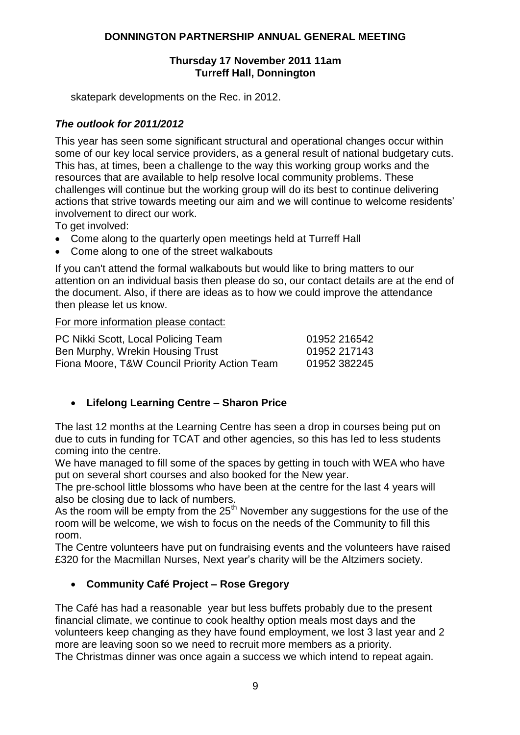### **Thursday 17 November 2011 11am Turreff Hall, Donnington**

skatepark developments on the Rec. in 2012.

### *The outlook for 2011/2012*

This year has seen some significant structural and operational changes occur within some of our key local service providers, as a general result of national budgetary cuts. This has, at times, been a challenge to the way this working group works and the resources that are available to help resolve local community problems. These challenges will continue but the working group will do its best to continue delivering actions that strive towards meeting our aim and we will continue to welcome residents" involvement to direct our work.

To get involved:

- Come along to the quarterly open meetings held at Turreff Hall
- Come along to one of the street walkabouts

If you can't attend the formal walkabouts but would like to bring matters to our attention on an individual basis then please do so, our contact details are at the end of the document. Also, if there are ideas as to how we could improve the attendance then please let us know.

# For more information please contact:

| PC Nikki Scott, Local Policing Team           | 01952 216542 |
|-----------------------------------------------|--------------|
| Ben Murphy, Wrekin Housing Trust              | 01952 217143 |
| Fiona Moore, T&W Council Priority Action Team | 01952 382245 |

# **Lifelong Learning Centre – Sharon Price**

The last 12 months at the Learning Centre has seen a drop in courses being put on due to cuts in funding for TCAT and other agencies, so this has led to less students coming into the centre.

We have managed to fill some of the spaces by getting in touch with WEA who have put on several short courses and also booked for the New year.

The pre-school little blossoms who have been at the centre for the last 4 years will also be closing due to lack of numbers.

As the room will be empty from the  $25<sup>th</sup>$  November any suggestions for the use of the room will be welcome, we wish to focus on the needs of the Community to fill this room.

The Centre volunteers have put on fundraising events and the volunteers have raised £320 for the Macmillan Nurses, Next year"s charity will be the Altzimers society.

# **Community Café Project – Rose Gregory**

The Café has had a reasonable year but less buffets probably due to the present financial climate, we continue to cook healthy option meals most days and the volunteers keep changing as they have found employment, we lost 3 last year and 2 more are leaving soon so we need to recruit more members as a priority. The Christmas dinner was once again a success we which intend to repeat again.